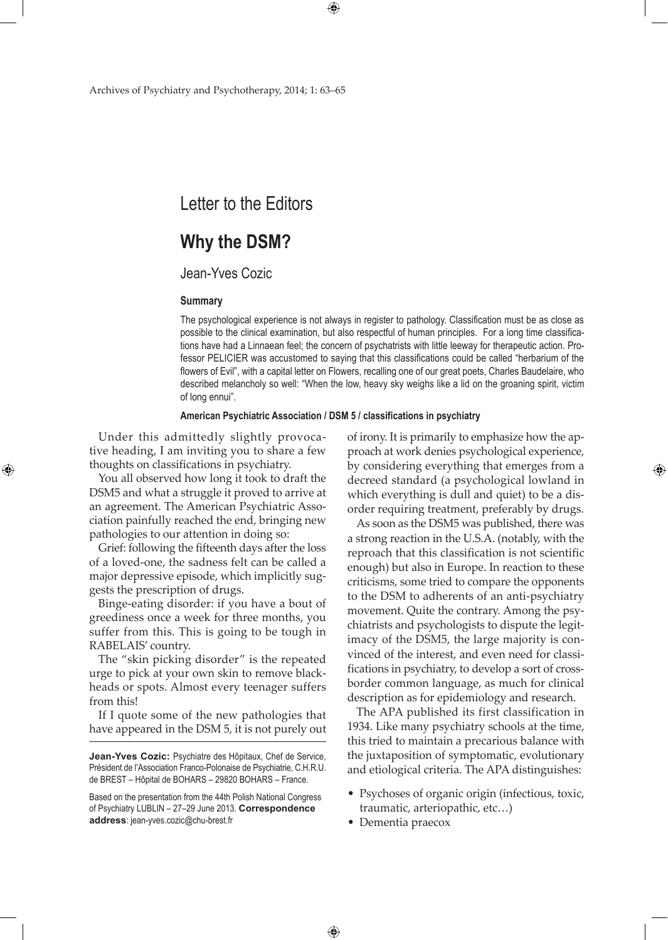# Letter to the Editors

## **Why the DSM?**

## Jean-Yves Cozic

#### **Summary**

The psychological experience is not always in register to pathology. Classification must be as close as possible to the clinical examination, but also respectful of human principles. For a long time classifications have had a Linnaean feel; the concern of psychatrists with little leeway for therapeutic action. Professor PELICIER was accustomed to saying that this classifications could be called "herbarium of the flowers of Evil", with a capital letter on Flowers, recalling one of our great poets, Charles Baudelaire, who described melancholy so well: "When the low, heavy sky weighs like a lid on the groaning spirit, victim of long ennui".

**American Psychiatric Association / DSM 5 / classifications in psychiatry**

 $\bigoplus$ 

Under this admittedly slightly provocative heading, I am inviting you to share a few thoughts on classifications in psychiatry.

⊕

You all observed how long it took to draft the DSM5 and what a struggle it proved to arrive at an agreement. The American Psychiatric Association painfully reached the end, bringing new pathologies to our attention in doing so:

Grief: following the fifteenth days after the loss of a loved-one, the sadness felt can be called a major depressive episode, which implicitly suggests the prescription of drugs.

Binge-eating disorder: if you have a bout of greediness once a week for three months, you suffer from this. This is going to be tough in RABELAIS' country.

The "skin picking disorder" is the repeated urge to pick at your own skin to remove blackheads or spots. Almost every teenager suffers from this!

If I quote some of the new pathologies that have appeared in the DSM 5, it is not purely out

of irony. It is primarily to emphasize how the approach at work denies psychological experience, by considering everything that emerges from a decreed standard (a psychological lowland in which everything is dull and quiet) to be a disorder requiring treatment, preferably by drugs.

As soon as the DSM5 was published, there was a strong reaction in the U.S.A. (notably, with the reproach that this classification is not scientific enough) but also in Europe. In reaction to these criticisms, some tried to compare the opponents to the DSM to adherents of an anti-psychiatry movement. Quite the contrary. Among the psychiatrists and psychologists to dispute the legitimacy of the DSM5, the large majority is convinced of the interest, and even need for classifications in psychiatry, to develop a sort of crossborder common language, as much for clinical description as for epidemiology and research.

The APA published its first classification in 1934. Like many psychiatry schools at the time, this tried to maintain a precarious balance with the juxtaposition of symptomatic, evolutionary and etiological criteria. The APA distinguishes:

- Psychoses of organic origin (infectious, toxic, traumatic, arteriopathic, etc…)
- Dementia praecox

 $\bigoplus$ 

**Jean-Yves Cozic:** Psychiatre des Hôpitaux, Chef de Service, Président de l'Association Franco-Polonaise de Psychiatrie, C.H.R.U. de BREST – Hôpital de BOHARS – 29820 BOHARS – France.

Based on the presentation from the 44th Polish National Congress of Psychiatry LUBLIN – 27–29 June 2013. **Correspondence address**: jean-yves.cozic@chu-brest.fr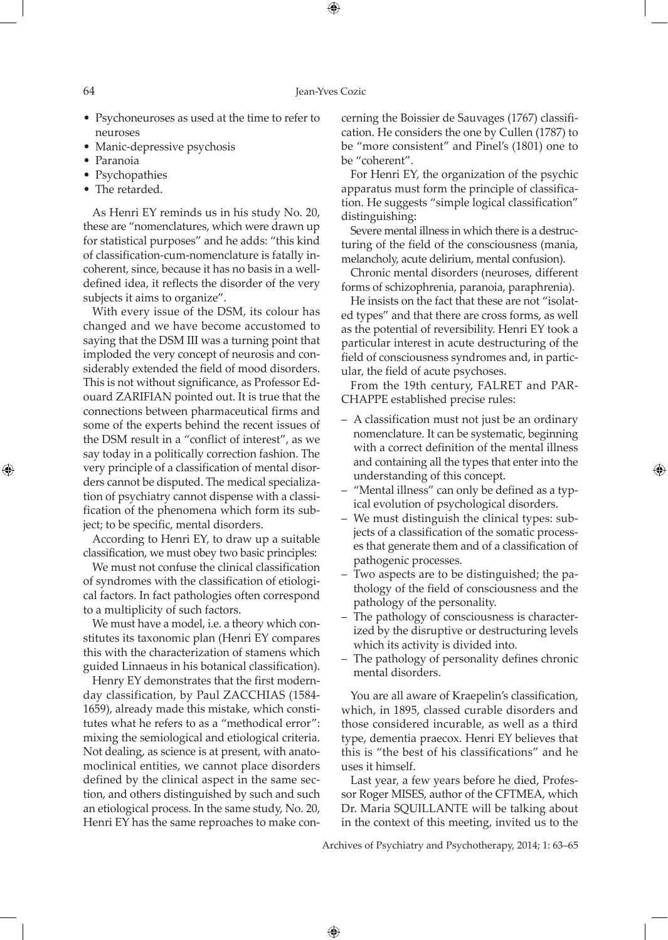⊕

- Psychoneuroses as used at the time to refer to neuroses
- Manic-depressive psychosis
- Paranoia
- Psychopathies
- The retarded.

As Henri EY reminds us in his study No. 20, these are "nomenclatures, which were drawn up for statistical purposes" and he adds: "this kind of classification-cum-nomenclature is fatally incoherent, since, because it has no basis in a welldefined idea, it reflects the disorder of the very subjects it aims to organize".

With every issue of the DSM, its colour has changed and we have become accustomed to saying that the DSM III was a turning point that imploded the very concept of neurosis and considerably extended the field of mood disorders. This is not without significance, as Professor Edouard ZARIFIAN pointed out. It is true that the connections between pharmaceutical firms and some of the experts behind the recent issues of the DSM result in a "conflict of interest", as we say today in a politically correction fashion. The very principle of a classification of mental disorders cannot be disputed. The medical specialization of psychiatry cannot dispense with a classification of the phenomena which form its subject; to be specific, mental disorders.

According to Henri EY, to draw up a suitable classification, we must obey two basic principles:

We must not confuse the clinical classification of syndromes with the classification of etiological factors. In fact pathologies often correspond to a multiplicity of such factors.

We must have a model, i.e. a theory which constitutes its taxonomic plan (Henri EY compares this with the characterization of stamens which guided Linnaeus in his botanical classification).

Henry EY demonstrates that the first modernday classification, by Paul ZACCHIAS (1584- 1659), already made this mistake, which constitutes what he refers to as a "methodical error": mixing the semiological and etiological criteria. Not dealing, as science is at present, with anatomoclinical entities, we cannot place disorders defined by the clinical aspect in the same section, and others distinguished by such and such an etiological process. In the same study, No. 20, Henri EY has the same reproaches to make concerning the Boissier de Sauvages (1767) classification. He considers the one by Cullen (1787) to be "more consistent" and Pinel's (1801) one to be "coherent".

For Henri EY, the organization of the psychic apparatus must form the principle of classification. He suggests "simple logical classification" distinguishing:

Severe mental illness in which there is a destructuring of the field of the consciousness (mania, melancholy, acute delirium, mental confusion).

Chronic mental disorders (neuroses, different forms of schizophrenia, paranoia, paraphrenia).

He insists on the fact that these are not "isolated types" and that there are cross forms, as well as the potential of reversibility. Henri EY took a particular interest in acute destructuring of the field of consciousness syndromes and, in particular, the field of acute psychoses.

From the 19th century, FALRET and PAR-CHAPPE established precise rules:

– A classification must not just be an ordinary nomenclature. It can be systematic, beginning with a correct definition of the mental illness and containing all the types that enter into the understanding of this concept.

⊕

- "Mental illness" can only be defined as a typical evolution of psychological disorders.
- We must distinguish the clinical types: subjects of a classification of the somatic processes that generate them and of a classification of pathogenic processes.
- Two aspects are to be distinguished; the pathology of the field of consciousness and the pathology of the personality.
- The pathology of consciousness is characterized by the disruptive or destructuring levels which its activity is divided into.
- The pathology of personality defines chronic mental disorders.

You are all aware of Kraepelin's classification, which, in 1895, classed curable disorders and those considered incurable, as well as a third type, dementia praecox. Henri EY believes that this is "the best of his classifications" and he uses it himself.

Last year, a few years before he died, Professor Roger MISES, author of the CFTMEA, which Dr. Maria SQUILLANTE will be talking about in the context of this meeting, invited us to the

Archives of Psychiatry and Psychotherapy, 2014; 1: 63–65

 $\bigoplus$ 

⊕